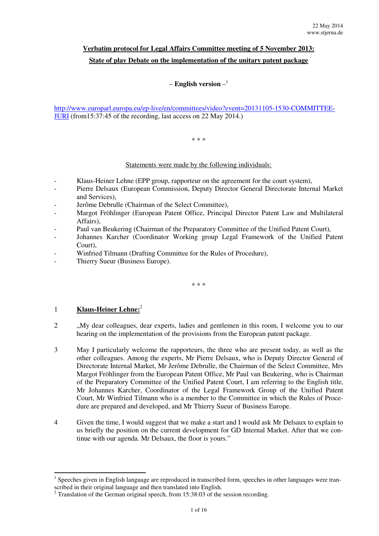# **Verbatim protocol for Legal Affairs Committee meeting of 5 November 2013: State of play Debate on the implementation of the unitary patent package**

## – **English version** – 1

http://www.europarl.europa.eu/ep-live/en/committees/video?event=20131105-1530-COMMITTEE-JURI (from15:37:45 of the recording, last access on 22 May 2014.)

#### \* \* \*

### Statements were made by the following individuals:

- Klaus-Heiner Lehne (EPP group, rapporteur on the agreement for the court system),
- Pierre Delsaux (European Commission, Deputy Director General Directorate Internal Market and Services),
- Jerôme Debrulle (Chairman of the Select Committee),
- Margot Fröhlinger (European Patent Office, Principal Director Patent Law and Multilateral Affairs),
- Paul van Beukering (Chairman of the Preparatory Committee of the Unified Patent Court),
- Johannes Karcher (Coordinator Working group Legal Framework of the Unified Patent Court),
- Winfried Tilmann (Drafting Committee for the Rules of Procedure),
- Thierry Sueur (Business Europe).

\* \* \*

### 1 **Klaus-Heiner Lehne:**<sup>2</sup>

 $\overline{a}$ 

- 2 ... My dear colleagues, dear experts, ladies and gentlemen in this room, I welcome you to our hearing on the implementation of the provisions from the European patent package.
- 3 May I particularly welcome the rapporteurs, the three who are present today, as well as the other colleagues. Among the experts, Mr Pierre Delsaux, who is Deputy Director General of Directorate Internal Market, Mr Jerôme Debrulle, the Chairman of the Select Committee, Mrs Margot Fröhlinger from the European Patent Office, Mr Paul van Beukering, who is Chairman of the Preparatory Committee of the Unified Patent Court, I am referring to the English title, Mr Johannes Karcher, Coordinator of the Legal Framework Group of the Unified Patent Court, Mr Winfried Tilmann who is a member to the Committee in which the Rules of Procedure are prepared and developed, and Mr Thierry Sueur of Business Europe.
- 4 Given the time, I would suggest that we make a start and I would ask Mr Delsaux to explain to us briefly the position on the current development for GD Internal Market. After that we continue with our agenda. Mr Delsaux, the floor is yours."

 $<sup>1</sup>$  Speeches given in English language are reproduced in transcribed form, speeches in other languages were tran-</sup> scribed in their original language and then translated into English.

 $2$  Translation of the German original speech, from 15:38:03 of the session recording.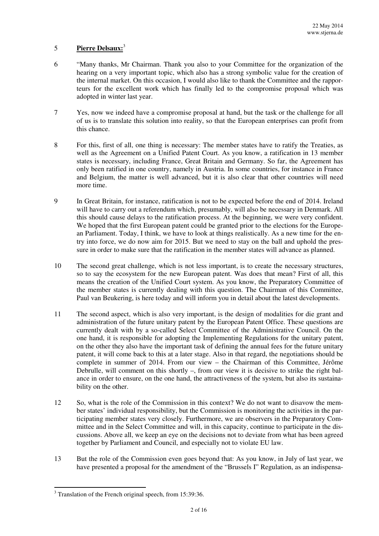## 5 **Pierre Delsaux:**<sup>3</sup>

- 6 "Many thanks, Mr Chairman. Thank you also to your Committee for the organization of the hearing on a very important topic, which also has a strong symbolic value for the creation of the internal market. On this occasion, I would also like to thank the Committee and the rapporteurs for the excellent work which has finally led to the compromise proposal which was adopted in winter last year.
- 7 Yes, now we indeed have a compromise proposal at hand, but the task or the challenge for all of us is to translate this solution into reality, so that the European enterprises can profit from this chance.
- 8 For this, first of all, one thing is necessary: The member states have to ratify the Treaties, as well as the Agreement on a Unified Patent Court. As you know, a ratification in 13 member states is necessary, including France, Great Britain and Germany. So far, the Agreement has only been ratified in one country, namely in Austria. In some countries, for instance in France and Belgium, the matter is well advanced, but it is also clear that other countries will need more time.
- 9 In Great Britain, for instance, ratification is not to be expected before the end of 2014. Ireland will have to carry out a referendum which, presumably, will also be necessary in Denmark. All this should cause delays to the ratification process. At the beginning, we were very confident. We hoped that the first European patent could be granted prior to the elections for the European Parliament. Today, I think, we have to look at things realistically. As a new time for the entry into force, we do now aim for 2015. But we need to stay on the ball and uphold the pressure in order to make sure that the ratification in the member states will advance as planned.
- 10 The second great challenge, which is not less important, is to create the necessary structures, so to say the ecosystem for the new European patent. Was does that mean? First of all, this means the creation of the Unified Court system. As you know, the Preparatory Committee of the member states is currently dealing with this question. The Chairman of this Committee, Paul van Beukering, is here today and will inform you in detail about the latest developments.
- 11 The second aspect, which is also very important, is the design of modalities for die grant and administration of the future unitary patent by the European Patent Office. These questions are currently dealt with by a so-called Select Committee of the Administrative Council. On the one hand, it is responsible for adopting the Implementing Regulations for the unitary patent, on the other they also have the important task of defining the annual fees for the future unitary patent, it will come back to this at a later stage. Also in that regard, the negotiations should be complete in summer of 2014. From our view – the Chairman of this Committee, Jérôme Debrulle, will comment on this shortly –, from our view it is decisive to strike the right balance in order to ensure, on the one hand, the attractiveness of the system, but also its sustainability on the other.
- 12 So, what is the role of the Commission in this context? We do not want to disavow the member states' individual responsibility, but the Commission is monitoring the activities in the participating member states very closely. Furthermore, we are observers in the Preparatory Committee and in the Select Committee and will, in this capacity, continue to participate in the discussions. Above all, we keep an eye on the decisions not to deviate from what has been agreed together by Parliament and Council, and especially not to violate EU law.
- 13 But the role of the Commission even goes beyond that: As you know, in July of last year, we have presented a proposal for the amendment of the "Brussels I" Regulation, as an indispensa-

<sup>&</sup>lt;sup>3</sup> Translation of the French original speech, from 15:39:36.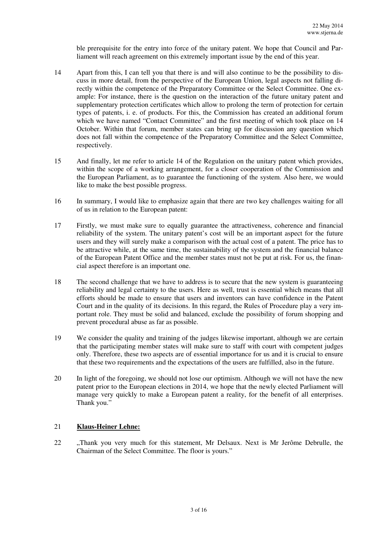ble prerequisite for the entry into force of the unitary patent. We hope that Council and Parliament will reach agreement on this extremely important issue by the end of this year.

- 14 Apart from this, I can tell you that there is and will also continue to be the possibility to discuss in more detail, from the perspective of the European Union, legal aspects not falling directly within the competence of the Preparatory Committee or the Select Committee. One example: For instance, there is the question on the interaction of the future unitary patent and supplementary protection certificates which allow to prolong the term of protection for certain types of patents, i. e. of products. For this, the Commission has created an additional forum which we have named "Contact Committee" and the first meeting of which took place on 14 October. Within that forum, member states can bring up for discussion any question which does not fall within the competence of the Preparatory Committee and the Select Committee, respectively.
- 15 And finally, let me refer to article 14 of the Regulation on the unitary patent which provides, within the scope of a working arrangement, for a closer cooperation of the Commission and the European Parliament, as to guarantee the functioning of the system. Also here, we would like to make the best possible progress.
- 16 In summary, I would like to emphasize again that there are two key challenges waiting for all of us in relation to the European patent:
- 17 Firstly, we must make sure to equally guarantee the attractiveness, coherence and financial reliability of the system. The unitary patent's cost will be an important aspect for the future users and they will surely make a comparison with the actual cost of a patent. The price has to be attractive while, at the same time, the sustainability of the system and the financial balance of the European Patent Office and the member states must not be put at risk. For us, the financial aspect therefore is an important one.
- 18 The second challenge that we have to address is to secure that the new system is guaranteeing reliability and legal certainty to the users. Here as well, trust is essential which means that all efforts should be made to ensure that users and inventors can have confidence in the Patent Court and in the quality of its decisions. In this regard, the Rules of Procedure play a very important role. They must be solid and balanced, exclude the possibility of forum shopping and prevent procedural abuse as far as possible.
- 19 We consider the quality and training of the judges likewise important, although we are certain that the participating member states will make sure to staff with court with competent judges only. Therefore, these two aspects are of essential importance for us and it is crucial to ensure that these two requirements and the expectations of the users are fulfilled, also in the future.
- 20 In light of the foregoing, we should not lose our optimism. Although we will not have the new patent prior to the European elections in 2014, we hope that the newly elected Parliament will manage very quickly to make a European patent a reality, for the benefit of all enterprises. Thank you."

### 21 **Klaus-Heiner Lehne:**

22 "Thank you very much for this statement, Mr Delsaux. Next is Mr Jerôme Debrulle, the Chairman of the Select Committee. The floor is yours."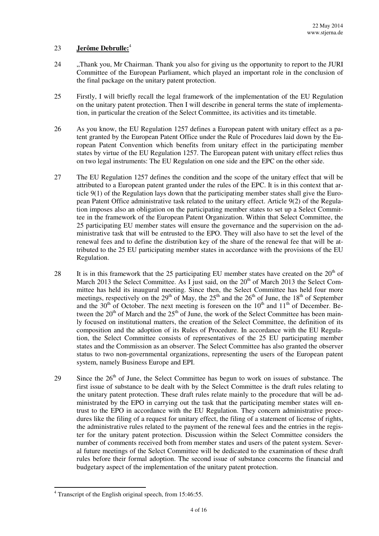## 23 **Jerôme Debrulle:**<sup>4</sup>

- 24 ..., Thank you, Mr Chairman. Thank you also for giving us the opportunity to report to the JURI Committee of the European Parliament, which played an important role in the conclusion of the final package on the unitary patent protection.
- 25 Firstly, I will briefly recall the legal framework of the implementation of the EU Regulation on the unitary patent protection. Then I will describe in general terms the state of implementation, in particular the creation of the Select Committee, its activities and its timetable.
- 26 As you know, the EU Regulation 1257 defines a European patent with unitary effect as a patent granted by the European Patent Office under the Rule of Procedures laid down by the European Patent Convention which benefits from unitary effect in the participating member states by virtue of the EU Regulation 1257. The European patent with unitary effect relies thus on two legal instruments: The EU Regulation on one side and the EPC on the other side.
- 27 The EU Regulation 1257 defines the condition and the scope of the unitary effect that will be attributed to a European patent granted under the rules of the EPC. It is in this context that article 9(1) of the Regulation lays down that the participating member states shall give the European Patent Office administrative task related to the unitary effect. Article 9(2) of the Regulation imposes also an obligation on the participating member states to set up a Select Committee in the framework of the European Patent Organization. Within that Select Committee, the 25 participating EU member states will ensure the governance and the supervision on the administrative task that will be entrusted to the EPO. They will also have to set the level of the renewal fees and to define the distribution key of the share of the renewal fee that will be attributed to the 25 EU participating member states in accordance with the provisions of the EU Regulation.
- 28 It is in this framework that the 25 participating EU member states have created on the  $20<sup>th</sup>$  of March 2013 the Select Committee. As I just said, on the  $20<sup>th</sup>$  of March 2013 the Select Committee has held its inaugural meeting. Since then, the Select Committee has held four more meetings, respectively on the 29<sup>th</sup> of May, the 25<sup>th</sup> and the 26<sup>th</sup> of June, the 18<sup>th</sup> of September and the  $30<sup>th</sup>$  of October. The next meeting is foreseen on the  $10<sup>th</sup>$  and  $11<sup>th</sup>$  of December. Between the  $20<sup>th</sup>$  of March and the  $25<sup>th</sup>$  of June, the work of the Select Committee has been mainly focused on institutional matters, the creation of the Select Committee, the definition of its composition and the adoption of its Rules of Procedure. In accordance with the EU Regulation, the Select Committee consists of representatives of the 25 EU participating member states and the Commission as an observer. The Select Committee has also granted the observer status to two non-governmental organizations, representing the users of the European patent system, namely Business Europe and EPI.
- 29 Since the  $26<sup>th</sup>$  of June, the Select Committee has begun to work on issues of substance. The first issue of substance to be dealt with by the Select Committee is the draft rules relating to the unitary patent protection. These draft rules relate mainly to the procedure that will be administrated by the EPO in carrying out the task that the participating member states will entrust to the EPO in accordance with the EU Regulation. They concern administrative procedures like the filing of a request for unitary effect, the filing of a statement of license of rights, the administrative rules related to the payment of the renewal fees and the entries in the register for the unitary patent protection. Discussion within the Select Committee considers the number of comments received both from member states and users of the patent system. Several future meetings of the Select Committee will be dedicated to the examination of these draft rules before their formal adoption. The second issue of substance concerns the financial and budgetary aspect of the implementation of the unitary patent protection.

<sup>&</sup>lt;sup>4</sup> Transcript of the English original speech, from 15:46:55.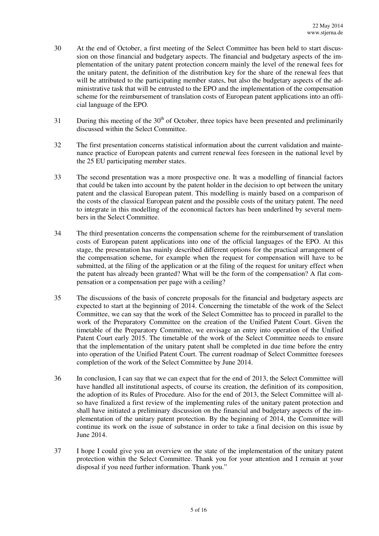- 30 At the end of October, a first meeting of the Select Committee has been held to start discussion on those financial and budgetary aspects. The financial and budgetary aspects of the implementation of the unitary patent protection concern mainly the level of the renewal fees for the unitary patent, the definition of the distribution key for the share of the renewal fees that will be attributed to the participating member states, but also the budgetary aspects of the administrative task that will be entrusted to the EPO and the implementation of the compensation scheme for the reimbursement of translation costs of European patent applications into an official language of the EPO.
- 31 During this meeting of the  $30<sup>th</sup>$  of October, three topics have been presented and preliminarily discussed within the Select Committee.
- 32 The first presentation concerns statistical information about the current validation and maintenance practice of European patents and current renewal fees foreseen in the national level by the 25 EU participating member states.
- 33 The second presentation was a more prospective one. It was a modelling of financial factors that could be taken into account by the patent holder in the decision to opt between the unitary patent and the classical European patent. This modelling is mainly based on a comparison of the costs of the classical European patent and the possible costs of the unitary patent. The need to integrate in this modelling of the economical factors has been underlined by several members in the Select Committee.
- 34 The third presentation concerns the compensation scheme for the reimbursement of translation costs of European patent applications into one of the official languages of the EPO. At this stage, the presentation has mainly described different options for the practical arrangement of the compensation scheme, for example when the request for compensation will have to be submitted, at the filing of the application or at the filing of the request for unitary effect when the patent has already been granted? What will be the form of the compensation? A flat compensation or a compensation per page with a ceiling?
- 35 The discussions of the basis of concrete proposals for the financial and budgetary aspects are expected to start at the beginning of 2014. Concerning the timetable of the work of the Select Committee, we can say that the work of the Select Committee has to proceed in parallel to the work of the Preparatory Committee on the creation of the Unified Patent Court. Given the timetable of the Preparatory Committee, we envisage an entry into operation of the Unified Patent Court early 2015. The timetable of the work of the Select Committee needs to ensure that the implementation of the unitary patent shall be completed in due time before the entry into operation of the Unified Patent Court. The current roadmap of Select Committee foresees completion of the work of the Select Committee by June 2014.
- 36 In conclusion, I can say that we can expect that for the end of 2013, the Select Committee will have handled all institutional aspects, of course its creation, the definition of its composition, the adoption of its Rules of Procedure. Also for the end of 2013, the Select Committee will also have finalized a first review of the implementing rules of the unitary patent protection and shall have initiated a preliminary discussion on the financial and budgetary aspects of the implementation of the unitary patent protection. By the beginning of 2014, the Committee will continue its work on the issue of substance in order to take a final decision on this issue by June 2014.
- 37 I hope I could give you an overview on the state of the implementation of the unitary patent protection within the Select Committee. Thank you for your attention and I remain at your disposal if you need further information. Thank you."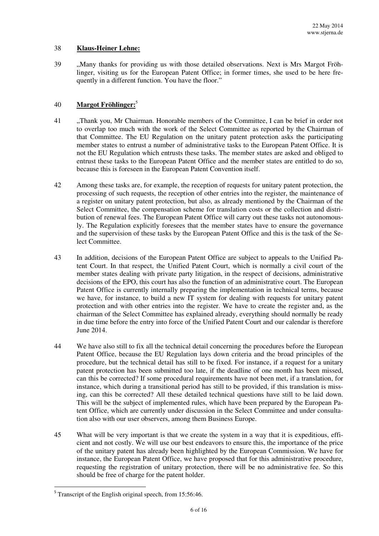#### 38 **Klaus-Heiner Lehne:**

39 "Many thanks for providing us with those detailed observations. Next is Mrs Margot Fröhlinger, visiting us for the European Patent Office; in former times, she used to be here frequently in a different function. You have the floor."

### 40 **Margot Fröhlinger:**<sup>5</sup>

- 41 "Thank you, Mr Chairman. Honorable members of the Committee, I can be brief in order not to overlap too much with the work of the Select Committee as reported by the Chairman of that Committee. The EU Regulation on the unitary patent protection asks the participating member states to entrust a number of administrative tasks to the European Patent Office. It is not the EU Regulation which entrusts these tasks. The member states are asked and obliged to entrust these tasks to the European Patent Office and the member states are entitled to do so, because this is foreseen in the European Patent Convention itself.
- 42 Among these tasks are, for example, the reception of requests for unitary patent protection, the processing of such requests, the reception of other entries into the register, the maintenance of a register on unitary patent protection, but also, as already mentioned by the Chairman of the Select Committee, the compensation scheme for translation costs or the collection and distribution of renewal fees. The European Patent Office will carry out these tasks not autonomously. The Regulation explicitly foresees that the member states have to ensure the governance and the supervision of these tasks by the European Patent Office and this is the task of the Select Committee.
- 43 In addition, decisions of the European Patent Office are subject to appeals to the Unified Patent Court. In that respect, the Unified Patent Court, which is normally a civil court of the member states dealing with private party litigation, in the respect of decisions, administrative decisions of the EPO, this court has also the function of an administrative court. The European Patent Office is currently internally preparing the implementation in technical terms, because we have, for instance, to build a new IT system for dealing with requests for unitary patent protection and with other entries into the register. We have to create the register and, as the chairman of the Select Committee has explained already, everything should normally be ready in due time before the entry into force of the Unified Patent Court and our calendar is therefore June 2014.
- 44 We have also still to fix all the technical detail concerning the procedures before the European Patent Office, because the EU Regulation lays down criteria and the broad principles of the procedure, but the technical detail has still to be fixed. For instance, if a request for a unitary patent protection has been submitted too late, if the deadline of one month has been missed, can this be corrected? If some procedural requirements have not been met, if a translation, for instance, which during a transitional period has still to be provided, if this translation is missing, can this be corrected? All these detailed technical questions have still to be laid down. This will be the subject of implemented rules, which have been prepared by the European Patent Office, which are currently under discussion in the Select Committee and under consultation also with our user observers, among them Business Europe.
- 45 What will be very important is that we create the system in a way that it is expeditious, efficient and not costly. We will use our best endeavors to ensure this, the importance of the price of the unitary patent has already been highlighted by the European Commission. We have for instance, the European Patent Office, we have proposed that for this administrative procedure, requesting the registration of unitary protection, there will be no administrative fee. So this should be free of charge for the patent holder.

<sup>&</sup>lt;sup>5</sup> Transcript of the English original speech, from 15:56:46.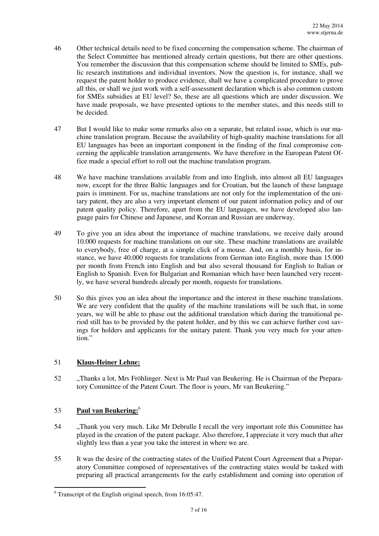- 46 Other technical details need to be fixed concerning the compensation scheme. The chairman of the Select Committee has mentioned already certain questions, but there are other questions. You remember the discussion that this compensation scheme should be limited to SMEs, public research institutions and individual inventors. Now the question is, for instance, shall we request the patent holder to produce evidence, shall we have a complicated procedure to prove all this, or shall we just work with a self-assessment declaration which is also common custom for SMEs subsidies at EU level? So, these are all questions which are under discussion. We have made proposals, we have presented options to the member states, and this needs still to be decided.
- 47 But I would like to make some remarks also on a separate, but related issue, which is our machine translation program. Because the availability of high-quality machine translations for all EU languages has been an important component in the finding of the final compromise concerning the applicable translation arrangements. We have therefore in the European Patent Office made a special effort to roll out the machine translation program.
- 48 We have machine translations available from and into English, into almost all EU languages now, except for the three Baltic languages and for Croatian, but the launch of these language pairs is imminent. For us, machine translations are not only for the implementation of the unitary patent, they are also a very important element of our patent information policy and of our patent quality policy. Therefore, apart from the EU languages, we have developed also language pairs for Chinese and Japanese, and Korean and Russian are underway.
- 49 To give you an idea about the importance of machine translations, we receive daily around 10.000 requests for machine translations on our site. These machine translations are available to everybody, free of charge, at a simple click of a mouse. And, on a monthly basis, for instance, we have 40.000 requests for translations from German into English, more than 15.000 per month from French into English and but also several thousand for English to Italian or English to Spanish. Even for Bulgarian and Romanian which have been launched very recently, we have several hundreds already per month, requests for translations.
- 50 So this gives you an idea about the importance and the interest in these machine translations. We are very confident that the quality of the machine translations will be such that, in some years, we will be able to phase out the additional translation which during the transitional period still has to be provided by the patent holder, and by this we can achieve further cost savings for holders and applicants for the unitary patent. Thank you very much for your attention."

### 51 **Klaus-Heiner Lehne:**

52 . Thanks a lot, Mrs Fröhlinger. Next is Mr Paul van Beukering. He is Chairman of the Preparatory Committee of the Patent Court. The floor is yours, Mr van Beukering."

## 53 **Paul van Beukering:**<sup>6</sup>

- 54 . Thank you very much. Like Mr Debrulle I recall the very important role this Committee has played in the creation of the patent package. Also therefore, I appreciate it very much that after slightly less than a year you take the interest in where we are.
- 55 It was the desire of the contracting states of the Unified Patent Court Agreement that a Preparatory Committee composed of representatives of the contracting states would be tasked with preparing all practical arrangements for the early establishment and coming into operation of

<sup>&</sup>lt;sup>6</sup> Transcript of the English original speech, from 16:05:47.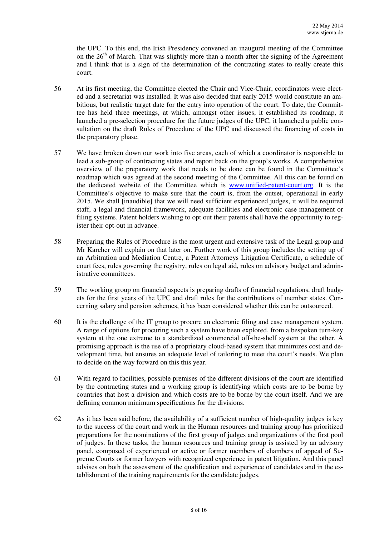the UPC. To this end, the Irish Presidency convened an inaugural meeting of the Committee on the  $26<sup>th</sup>$  of March. That was slightly more than a month after the signing of the Agreement and I think that is a sign of the determination of the contracting states to really create this court.

- 56 At its first meeting, the Committee elected the Chair and Vice-Chair, coordinators were elected and a secretariat was installed. It was also decided that early 2015 would constitute an ambitious, but realistic target date for the entry into operation of the court. To date, the Committee has held three meetings, at which, amongst other issues, it established its roadmap, it launched a pre-selection procedure for the future judges of the UPC, it launched a public consultation on the draft Rules of Procedure of the UPC and discussed the financing of costs in the preparatory phase.
- 57 We have broken down our work into five areas, each of which a coordinator is responsible to lead a sub-group of contracting states and report back on the group's works. A comprehensive overview of the preparatory work that needs to be done can be found in the Committee's roadmap which was agreed at the second meeting of the Committee. All this can be found on the dedicated website of the Committee which is www.unified-patent-court.org. It is the Committee's objective to make sure that the court is, from the outset, operational in early 2015. We shall [inaudible] that we will need sufficient experienced judges, it will be required staff, a legal and financial framework, adequate facilities and electronic case management or filing systems. Patent holders wishing to opt out their patents shall have the opportunity to register their opt-out in advance.
- 58 Preparing the Rules of Procedure is the most urgent and extensive task of the Legal group and Mr Karcher will explain on that later on. Further work of this group includes the setting up of an Arbitration and Mediation Centre, a Patent Attorneys Litigation Certificate, a schedule of court fees, rules governing the registry, rules on legal aid, rules on advisory budget and administrative committees.
- 59 The working group on financial aspects is preparing drafts of financial regulations, draft budgets for the first years of the UPC and draft rules for the contributions of member states. Concerning salary and pension schemes, it has been considered whether this can be outsourced.
- 60 It is the challenge of the IT group to procure an electronic filing and case management system. A range of options for procuring such a system have been explored, from a bespoken turn-key system at the one extreme to a standardized commercial off-the-shelf system at the other. A promising approach is the use of a proprietary cloud-based system that minimizes cost and development time, but ensures an adequate level of tailoring to meet the court's needs. We plan to decide on the way forward on this this year.
- 61 With regard to facilities, possible premises of the different divisions of the court are identified by the contracting states and a working group is identifying which costs are to be borne by countries that host a division and which costs are to be borne by the court itself. And we are defining common minimum specifications for the divisions.
- 62 As it has been said before, the availability of a sufficient number of high-quality judges is key to the success of the court and work in the Human resources and training group has prioritized preparations for the nominations of the first group of judges and organizations of the first pool of judges. In these tasks, the human resources and training group is assisted by an advisory panel, composed of experienced or active or former members of chambers of appeal of Supreme Courts or former lawyers with recognized experience in patent litigation. And this panel advises on both the assessment of the qualification and experience of candidates and in the establishment of the training requirements for the candidate judges.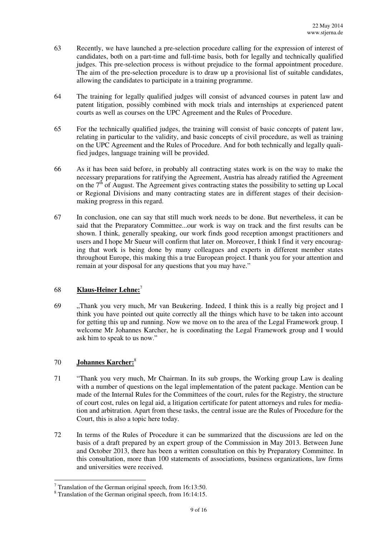- 63 Recently, we have launched a pre-selection procedure calling for the expression of interest of candidates, both on a part-time and full-time basis, both for legally and technically qualified judges. This pre-selection process is without prejudice to the formal appointment procedure. The aim of the pre-selection procedure is to draw up a provisional list of suitable candidates, allowing the candidates to participate in a training programme.
- 64 The training for legally qualified judges will consist of advanced courses in patent law and patent litigation, possibly combined with mock trials and internships at experienced patent courts as well as courses on the UPC Agreement and the Rules of Procedure.
- 65 For the technically qualified judges, the training will consist of basic concepts of patent law, relating in particular to the validity, and basic concepts of civil procedure, as well as training on the UPC Agreement and the Rules of Procedure. And for both technically and legally qualified judges, language training will be provided.
- 66 As it has been said before, in probably all contracting states work is on the way to make the necessary preparations for ratifying the Agreement, Austria has already ratified the Agreement on the  $7<sup>th</sup>$  of August. The Agreement gives contracting states the possibility to setting up Local or Regional Divisions and many contracting states are in different stages of their decisionmaking progress in this regard.
- 67 In conclusion, one can say that still much work needs to be done. But nevertheless, it can be said that the Preparatory Committee...our work is way on track and the first results can be shown. I think, generally speaking, our work finds good reception amongst practitioners and users and I hope Mr Sueur will confirm that later on. Moreover, I think I find it very encouraging that work is being done by many colleagues and experts in different member states throughout Europe, this making this a true European project. I thank you for your attention and remain at your disposal for any questions that you may have."

## 68 **Klaus-Heiner Lehne:**<sup>7</sup>

69 "Thank you very much, Mr van Beukering. Indeed, I think this is a really big project and I think you have pointed out quite correctly all the things which have to be taken into account for getting this up and running. Now we move on to the area of the Legal Framework group. I welcome Mr Johannes Karcher, he is coordinating the Legal Framework group and I would ask him to speak to us now."

### 70 **Johannes Karcher:**<sup>8</sup>

 $\overline{a}$ 

- 71 "Thank you very much, Mr Chairman. In its sub groups, the Working group Law is dealing with a number of questions on the legal implementation of the patent package. Mention can be made of the Internal Rules for the Committees of the court, rules for the Registry, the structure of court cost, rules on legal aid, a litigation certificate for patent attorneys and rules for mediation and arbitration. Apart from these tasks, the central issue are the Rules of Procedure for the Court, this is also a topic here today.
- 72 In terms of the Rules of Procedure it can be summarized that the discussions are led on the basis of a draft prepared by an expert group of the Commission in May 2013. Between June and October 2013, there has been a written consultation on this by Preparatory Committee. In this consultation, more than 100 statements of associations, business organizations, law firms and universities were received.

 $7$  Translation of the German original speech, from 16:13:50.

<sup>8</sup> Translation of the German original speech, from 16:14:15.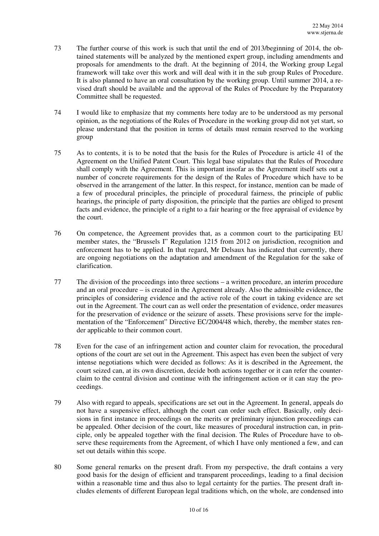- 73 The further course of this work is such that until the end of 2013/beginning of 2014, the obtained statements will be analyzed by the mentioned expert group, including amendments and proposals for amendments to the draft. At the beginning of 2014, the Working group Legal framework will take over this work and will deal with it in the sub group Rules of Procedure. It is also planned to have an oral consultation by the working group. Until summer 2014, a revised draft should be available and the approval of the Rules of Procedure by the Preparatory Committee shall be requested.
- 74 I would like to emphasize that my comments here today are to be understood as my personal opinion, as the negotiations of the Rules of Procedure in the working group did not yet start, so please understand that the position in terms of details must remain reserved to the working group
- 75 As to contents, it is to be noted that the basis for the Rules of Procedure is article 41 of the Agreement on the Unified Patent Court. This legal base stipulates that the Rules of Procedure shall comply with the Agreement. This is important insofar as the Agreement itself sets out a number of concrete requirements for the design of the Rules of Procedure which have to be observed in the arrangement of the latter. In this respect, for instance, mention can be made of a few of procedural principles, the principle of procedural fairness, the principle of public hearings, the principle of party disposition, the principle that the parties are obliged to present facts and evidence, the principle of a right to a fair hearing or the free appraisal of evidence by the court.
- 76 On competence, the Agreement provides that, as a common court to the participating EU member states, the "Brussels I" Regulation 1215 from 2012 on jurisdiction, recognition and enforcement has to be applied. In that regard, Mr Delsaux has indicated that currently, there are ongoing negotiations on the adaptation and amendment of the Regulation for the sake of clarification.
- 77 The division of the proceedings into three sections a written procedure, an interim procedure and an oral procedure – is created in the Agreement already. Also the admissible evidence, the principles of considering evidence and the active role of the court in taking evidence are set out in the Agreement. The court can as well order the presentation of evidence, order measures for the preservation of evidence or the seizure of assets. These provisions serve for the implementation of the "Enforcement" Directive EC/2004/48 which, thereby, the member states render applicable to their common court.
- 78 Even for the case of an infringement action and counter claim for revocation, the procedural options of the court are set out in the Agreement. This aspect has even been the subject of very intense negotiations which were decided as follows: As it is described in the Agreement, the court seized can, at its own discretion, decide both actions together or it can refer the counterclaim to the central division and continue with the infringement action or it can stay the proceedings.
- 79 Also with regard to appeals, specifications are set out in the Agreement. In general, appeals do not have a suspensive effect, although the court can order such effect. Basically, only decisions in first instance in proceedings on the merits or preliminary injunction proceedings can be appealed. Other decision of the court, like measures of procedural instruction can, in principle, only be appealed together with the final decision. The Rules of Procedure have to observe these requirements from the Agreement, of which I have only mentioned a few, and can set out details within this scope.
- 80 Some general remarks on the present draft. From my perspective, the draft contains a very good basis for the design of efficient and transparent proceedings, leading to a final decision within a reasonable time and thus also to legal certainty for the parties. The present draft includes elements of different European legal traditions which, on the whole, are condensed into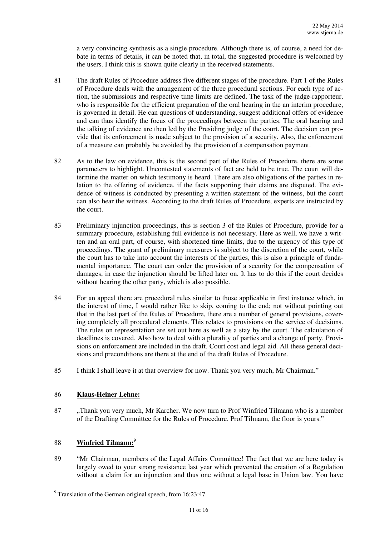a very convincing synthesis as a single procedure. Although there is, of course, a need for debate in terms of details, it can be noted that, in total, the suggested procedure is welcomed by the users. I think this is shown quite clearly in the received statements.

- 81 The draft Rules of Procedure address five different stages of the procedure. Part 1 of the Rules of Procedure deals with the arrangement of the three procedural sections. For each type of action, the submissions and respective time limits are defined. The task of the judge-rapporteur, who is responsible for the efficient preparation of the oral hearing in the an interim procedure, is governed in detail. He can questions of understanding, suggest additional offers of evidence and can thus identify the focus of the proceedings between the parties. The oral hearing and the talking of evidence are then led by the Presiding judge of the court. The decision can provide that its enforcement is made subject to the provision of a security. Also, the enforcement of a measure can probably be avoided by the provision of a compensation payment.
- 82 As to the law on evidence, this is the second part of the Rules of Procedure, there are some parameters to highlight. Uncontested statements of fact are held to be true. The court will determine the matter on which testimony is heard. There are also obligations of the parties in relation to the offering of evidence, if the facts supporting their claims are disputed. The evidence of witness is conducted by presenting a written statement of the witness, but the court can also hear the witness. According to the draft Rules of Procedure, experts are instructed by the court.
- 83 Preliminary injunction proceedings, this is section 3 of the Rules of Procedure, provide for a summary procedure, establishing full evidence is not necessary. Here as well, we have a written and an oral part, of course, with shortened time limits, due to the urgency of this type of proceedings. The grant of preliminary measures is subject to the discretion of the court, while the court has to take into account the interests of the parties, this is also a principle of fundamental importance. The court can order the provision of a security for the compensation of damages, in case the injunction should be lifted later on. It has to do this if the court decides without hearing the other party, which is also possible.
- 84 For an appeal there are procedural rules similar to those applicable in first instance which, in the interest of time, I would rather like to skip, coming to the end; not without pointing out that in the last part of the Rules of Procedure, there are a number of general provisions, covering completely all procedural elements. This relates to provisions on the service of decisions. The rules on representation are set out here as well as a stay by the court. The calculation of deadlines is covered. Also how to deal with a plurality of parties and a change of party. Provisions on enforcement are included in the draft. Court cost and legal aid. All these general decisions and preconditions are there at the end of the draft Rules of Procedure.
- 85 I think I shall leave it at that overview for now. Thank you very much, Mr Chairman."

### 86 **Klaus-Heiner Lehne:**

87 ..., Thank you very much, Mr Karcher. We now turn to Prof Winfried Tilmann who is a member of the Drafting Committee for the Rules of Procedure. Prof Tilmann, the floor is yours."

### 88 **Winfried Tilmann:**<sup>9</sup>

l

89 "Mr Chairman, members of the Legal Affairs Committee! The fact that we are here today is largely owed to your strong resistance last year which prevented the creation of a Regulation without a claim for an injunction and thus one without a legal base in Union law. You have

<sup>&</sup>lt;sup>9</sup> Translation of the German original speech, from 16:23:47.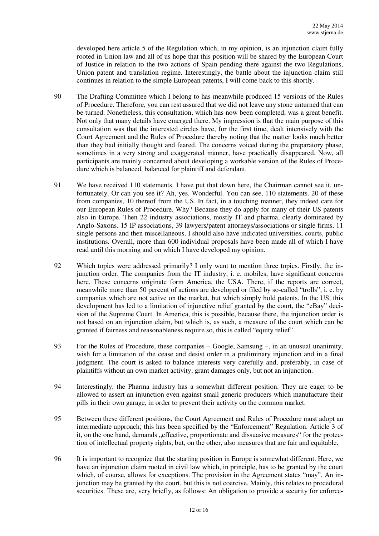developed here article 5 of the Regulation which, in my opinion, is an injunction claim fully rooted in Union law and all of us hope that this position will be shared by the European Court of Justice in relation to the two actions of Spain pending there against the two Regulations, Union patent and translation regime. Interestingly, the battle about the injunction claim still continues in relation to the simple European patents, I will come back to this shortly.

- 90 The Drafting Committee which I belong to has meanwhile produced 15 versions of the Rules of Procedure. Therefore, you can rest assured that we did not leave any stone unturned that can be turned. Nonetheless, this consultation, which has now been completed, was a great benefit. Not only that many details have emerged there. My impression is that the main purpose of this consultation was that the interested circles have, for the first time, dealt intensively with the Court Agreement and the Rules of Procedure thereby noting that the matter looks much better than they had initially thought and feared. The concerns voiced during the preparatory phase, sometimes in a very strong and exaggerated manner, have practically disappeared. Now, all participants are mainly concerned about developing a workable version of the Rules of Procedure which is balanced, balanced for plaintiff and defendant.
- 91 We have received 110 statements. I have put that down here, the Chairman cannot see it, unfortunately. Or can you see it? Ah, yes. Wonderful. You can see, 110 statements. 20 of these from companies, 10 thereof from the US. In fact, in a touching manner, they indeed care for our European Rules of Procedure. Why? Because they do apply for many of their US patents also in Europe. Then 22 industry associations, mostly IT and pharma, clearly dominated by Anglo-Saxons. 15 IP associations, 39 lawyers/patent attorneys/associations or single firms, 11 single persons and then miscellaneous. I should also have indicated universities, courts, public institutions. Overall, more than 600 individual proposals have been made all of which I have read until this morning and on which I have developed my opinion.
- 92 Which topics were addressed primarily? I only want to mention three topics. Firstly, the injunction order. The companies from the IT industry, i. e. mobiles, have significant concerns here. These concerns originate form America, the USA. There, if the reports are correct, meanwhile more than 50 percent of actions are developed or filed by so-called "trolls", i. e. by companies which are not active on the market, but which simply hold patents. In the US, this development has led to a limitation of injunctive relief granted by the court, the "eBay" decision of the Supreme Court. In America, this is possible, because there, the injunction order is not based on an injunction claim, but which is, as such, a measure of the court which can be granted if fairness and reasonableness require so, this is called "equity relief".
- 93 For the Rules of Procedure, these companies Google, Samsung –, in an unusual unanimity, wish for a limitation of the cease and desist order in a preliminary injunction and in a final judgment. The court is asked to balance interests very carefully and, preferably, in case of plaintiffs without an own market activity, grant damages only, but not an injunction.
- 94 Interestingly, the Pharma industry has a somewhat different position. They are eager to be allowed to assert an injunction even against small generic producers which manufacture their pills in their own garage, in order to prevent their activity on the common market.
- 95 Between these different positions, the Court Agreement and Rules of Procedure must adopt an intermediate approach; this has been specified by the "Enforcement" Regulation. Article 3 of it, on the one hand, demands "effective, proportionate and dissuasive measures" for the protection of intellectual property rights, but, on the other, also measures that are fair and equitable.
- 96 It is important to recognize that the starting position in Europe is somewhat different. Here, we have an injunction claim rooted in civil law which, in principle, has to be granted by the court which, of course, allows for exceptions. The provision in the Agreement states "may". An injunction may be granted by the court, but this is not coercive. Mainly, this relates to procedural securities. These are, very briefly, as follows: An obligation to provide a security for enforce-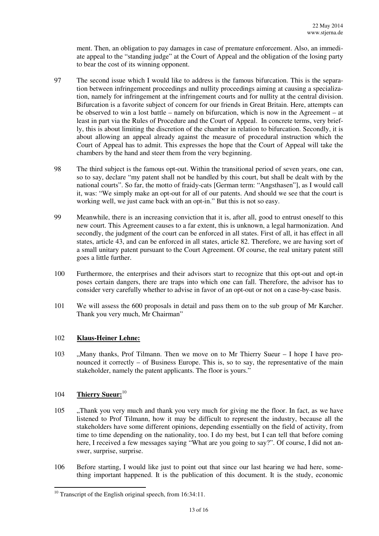ment. Then, an obligation to pay damages in case of premature enforcement. Also, an immediate appeal to the "standing judge" at the Court of Appeal and the obligation of the losing party to bear the cost of its winning opponent.

- 97 The second issue which I would like to address is the famous bifurcation. This is the separation between infringement proceedings and nullity proceedings aiming at causing a specialization, namely for infringement at the infringement courts and for nullity at the central division. Bifurcation is a favorite subject of concern for our friends in Great Britain. Here, attempts can be observed to win a lost battle – namely on bifurcation, which is now in the Agreement – at least in part via the Rules of Procedure and the Court of Appeal. In concrete terms, very briefly, this is about limiting the discretion of the chamber in relation to bifurcation. Secondly, it is about allowing an appeal already against the measure of procedural instruction which the Court of Appeal has to admit. This expresses the hope that the Court of Appeal will take the chambers by the hand and steer them from the very beginning.
- 98 The third subject is the famous opt-out. Within the transitional period of seven years, one can, so to say, declare "my patent shall not be handled by this court, but shall be dealt with by the national courts". So far, the motto of fraidy-cats [German term: "Angsthasen"], as I would call it, was: "We simply make an opt-out for all of our patents. And should we see that the court is working well, we just came back with an opt-in." But this is not so easy.
- 99 Meanwhile, there is an increasing conviction that it is, after all, good to entrust oneself to this new court. This Agreement causes to a far extent, this is unknown, a legal harmonization. And secondly, the judgment of the court can be enforced in all states. First of all, it has effect in all states, article 43, and can be enforced in all states, article 82. Therefore, we are having sort of a small unitary patent pursuant to the Court Agreement. Of course, the real unitary patent still goes a little further.
- 100 Furthermore, the enterprises and their advisors start to recognize that this opt-out and opt-in poses certain dangers, there are traps into which one can fall. Therefore, the advisor has to consider very carefully whether to advise in favor of an opt-out or not on a case-by-case basis.
- 101 We will assess the 600 proposals in detail and pass them on to the sub group of Mr Karcher. Thank you very much, Mr Chairman"

### 102 **Klaus-Heiner Lehne:**

103 .Many thanks, Prof Tilmann. Then we move on to Mr Thierry Sueur - I hope I have pronounced it correctly  $-$  of Business Europe. This is, so to say, the representative of the main stakeholder, namely the patent applicants. The floor is yours."

### 104 **Thierry Sueur:**<sup>10</sup>

- 105 . Thank you very much and thank you very much for giving me the floor. In fact, as we have listened to Prof Tilmann, how it may be difficult to represent the industry, because all the stakeholders have some different opinions, depending essentially on the field of activity, from time to time depending on the nationality, too. I do my best, but I can tell that before coming here, I received a few messages saying "What are you going to say?". Of course, I did not answer, surprise, surprise.
- 106 Before starting, I would like just to point out that since our last hearing we had here, something important happened. It is the publication of this document. It is the study, economic

<sup>&</sup>lt;sup>10</sup> Transcript of the English original speech, from 16:34:11.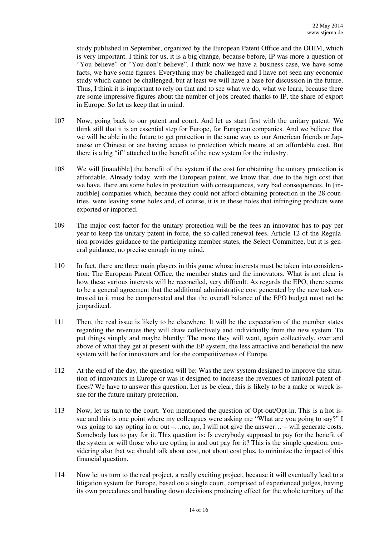study published in September, organized by the European Patent Office and the OHIM, which is very important. I think for us, it is a big change, because before, IP was more a question of "You believe" or "You don't believe". I think now we have a business case, we have some facts, we have some figures. Everything may be challenged and I have not seen any economic study which cannot be challenged, but at least we will have a base for discussion in the future. Thus, I think it is important to rely on that and to see what we do, what we learn, because there are some impressive figures about the number of jobs created thanks to IP, the share of export in Europe. So let us keep that in mind.

- 107 Now, going back to our patent and court. And let us start first with the unitary patent. We think still that it is an essential step for Europe, for European companies. And we believe that we will be able in the future to get protection in the same way as our American friends or Japanese or Chinese or are having access to protection which means at an affordable cost. But there is a big "if" attached to the benefit of the new system for the industry.
- 108 We will [inaudible] the benefit of the system if the cost for obtaining the unitary protection is affordable. Already today, with the European patent, we know that, due to the high cost that we have, there are some holes in protection with consequences, very bad consequences. In [inaudible] companies which, because they could not afford obtaining protection in the 28 countries, were leaving some holes and, of course, it is in these holes that infringing products were exported or imported.
- 109 The major cost factor for the unitary protection will be the fees an innovator has to pay per year to keep the unitary patent in force, the so-called renewal fees. Article 12 of the Regulation provides guidance to the participating member states, the Select Committee, but it is general guidance, no precise enough in my mind.
- 110 In fact, there are three main players in this game whose interests must be taken into consideration: The European Patent Office, the member states and the innovators. What is not clear is how these various interests will be reconciled, very difficult. As regards the EPO, there seems to be a general agreement that the additional administrative cost generated by the new task entrusted to it must be compensated and that the overall balance of the EPO budget must not be jeopardized.
- 111 Then, the real issue is likely to be elsewhere. It will be the expectation of the member states regarding the revenues they will draw collectively and individually from the new system. To put things simply and maybe bluntly: The more they will want, again collectively, over and above of what they get at present with the EP system, the less attractive and beneficial the new system will be for innovators and for the competitiveness of Europe.
- 112 At the end of the day, the question will be: Was the new system designed to improve the situation of innovators in Europe or was it designed to increase the revenues of national patent offices? We have to answer this question. Let us be clear, this is likely to be a make or wreck issue for the future unitary protection.
- 113 Now, let us turn to the court. You mentioned the question of Opt-out/Opt-in. This is a hot issue and this is one point where my colleagues were asking me "What are you going to say?" I was going to say opting in or out –...no, no, I will not give the answer... – will generate costs. Somebody has to pay for it. This question is: Is everybody supposed to pay for the benefit of the system or will those who are opting in and out pay for it? This is the simple question, considering also that we should talk about cost, not about cost plus, to minimize the impact of this financial question.
- 114 Now let us turn to the real project, a really exciting project, because it will eventually lead to a litigation system for Europe, based on a single court, comprised of experienced judges, having its own procedures and handing down decisions producing effect for the whole territory of the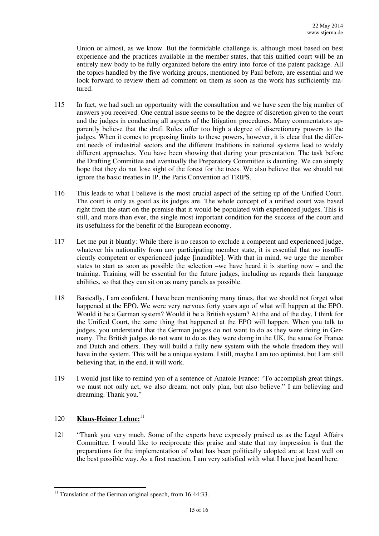Union or almost, as we know. But the formidable challenge is, although most based on best experience and the practices available in the member states, that this unified court will be an entirely new body to be fully organized before the entry into force of the patent package. All the topics handled by the five working groups, mentioned by Paul before, are essential and we look forward to review them ad comment on them as soon as the work has sufficiently matured.

- 115 In fact, we had such an opportunity with the consultation and we have seen the big number of answers you received. One central issue seems to be the degree of discretion given to the court and the judges in conducting all aspects of the litigation procedures. Many commentators apparently believe that the draft Rules offer too high a degree of discretionary powers to the judges. When it comes to proposing limits to these powers, however, it is clear that the different needs of industrial sectors and the different traditions in national systems lead to widely different approaches. You have been showing that during your presentation. The task before the Drafting Committee and eventually the Preparatory Committee is daunting. We can simply hope that they do not lose sight of the forest for the trees. We also believe that we should not ignore the basic treaties in IP, the Paris Convention ad TRIPS.
- 116 This leads to what I believe is the most crucial aspect of the setting up of the Unified Court. The court is only as good as its judges are. The whole concept of a unified court was based right from the start on the premise that it would be populated with experienced judges. This is still, and more than ever, the single most important condition for the success of the court and its usefulness for the benefit of the European economy.
- 117 Let me put it bluntly: While there is no reason to exclude a competent and experienced judge, whatever his nationality from any participating member state, it is essential that no insufficiently competent or experienced judge [inaudible]. With that in mind, we urge the member states to start as soon as possible the selection –we have heard it is starting now – and the training. Training will be essential for the future judges, including as regards their language abilities, so that they can sit on as many panels as possible.
- 118 Basically, I am confident. I have been mentioning many times, that we should not forget what happened at the EPO. We were very nervous forty years ago of what will happen at the EPO. Would it be a German system? Would it be a British system? At the end of the day, I think for the Unified Court, the same thing that happened at the EPO will happen. When you talk to judges, you understand that the German judges do not want to do as they were doing in Germany. The British judges do not want to do as they were doing in the UK, the same for France and Dutch and others. They will build a fully new system with the whole freedom they will have in the system. This will be a unique system. I still, maybe I am too optimist, but I am still believing that, in the end, it will work.
- 119 I would just like to remind you of a sentence of Anatole France: "To accomplish great things, we must not only act, we also dream; not only plan, but also believe." I am believing and dreaming. Thank you."

## 120 **Klaus-Heiner Lehne:**<sup>11</sup>

l

121 "Thank you very much. Some of the experts have expressly praised us as the Legal Affairs Committee. I would like to reciprocate this praise and state that my impression is that the preparations for the implementation of what has been politically adopted are at least well on the best possible way. As a first reaction, I am very satisfied with what I have just heard here.

 $11$  Translation of the German original speech, from 16:44:33.